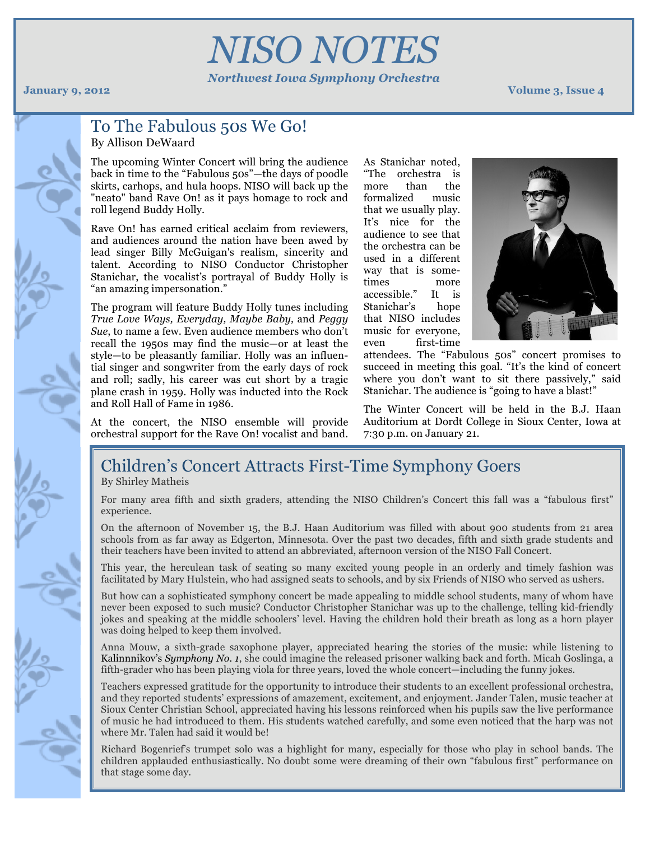NISO's

# *NISO NOTES Northwest Iowa Symphony Orchestra*

#### **January 9, 2012 Volume 3, Issue 4**

## To The Fabulous 50s We Go! By Allison DeWaard

The upcoming Winter Concert will bring the audience back in time to the "Fabulous 50s"—the days of poodle skirts, carhops, and hula hoops. NISO will back up the "neato" band Rave On! as it pays homage to rock and roll legend Buddy Holly.

Rave On! has earned critical acclaim from reviewers, and audiences around the nation have been awed by lead singer Billy McGuigan's realism, sincerity and talent. According to NISO Conductor Christopher Stanichar, the vocalist's portrayal of Buddy Holly is "an amazing impersonation."

The program will feature Buddy Holly tunes including *True Love Ways, Everyday, Maybe Baby,* and *Peggy Sue*, to name a few. Even audience members who don't recall the 1950s may find the music—or at least the style—to be pleasantly familiar. Holly was an influential singer and songwriter from the early days of rock and roll; sadly, his career was cut short by a tragic plane crash in 1959. Holly was inducted into the Rock and Roll Hall of Fame in 1986.

As Stanichar noted, "The orchestra is more than the formalized music that we usually play. It's nice for the audience to see that the orchestra can be used in a different way that is sometimes more accessible." It is Stanichar's hope that NISO includes music for everyone, even first-time



attendees. The "Fabulous 50s" concert promises to succeed in meeting this goal. "It's the kind of concert where you don't want to sit there passively," said Stanichar. The audience is "going to have a blast!"

At the concert, the NISO ensemble will provide orchestral support for the Rave On! vocalist and band.

### The Winter Concert will be held in the B.J. Haan Auditorium at Dordt College in Sioux Center, Iowa at 7:30 p.m. on January 21.

# Children's Concert Attracts First-Time Symphony Goers

By Shirley Matheis

For many area fifth and sixth graders, attending the NISO Children's Concert this fall was a "fabulous first" experience.

On the afternoon of November 15, the B.J. Haan Auditorium was filled with about 900 students from 21 area schools from as far away as Edgerton, Minnesota. Over the past two decades, fifth and sixth grade students and their teachers have been invited to attend an abbreviated, afternoon version of the NISO Fall Concert.

This year, the herculean task of seating so many excited young people in an orderly and timely fashion was facilitated by Mary Hulstein, who had assigned seats to schools, and by six Friends of NISO who served as ushers.

But how can a sophisticated symphony concert be made appealing to middle school students, many of whom have never been exposed to such music? Conductor Christopher Stanichar was up to the challenge, telling kid-friendly jokes and speaking at the middle schoolers' level. Having the children hold their breath as long as a horn player was doing helped to keep them involved.

Anna Mouw, a sixth-grade saxophone player, appreciated hearing the stories of the music: while listening to Kalinnnikov's *Symphony No. 1*, she could imagine the released prisoner walking back and forth. Micah Goslinga, a fifth-grader who has been playing viola for three years, loved the whole concert—including the funny jokes.

Teachers expressed gratitude for the opportunity to introduce their students to an excellent professional orchestra, and they reported students' expressions of amazement, excitement, and enjoyment. Jander Talen, music teacher at Sioux Center Christian School, appreciated having his lessons reinforced when his pupils saw the live performance of music he had introduced to them. His students watched carefully, and some even noticed that the harp was not where Mr. Talen had said it would be!

Richard Bogenrief's trumpet solo was a highlight for many, especially for those who play in school bands. The children applauded enthusiastically. No doubt some were dreaming of their own "fabulous first" performance on that stage some day.